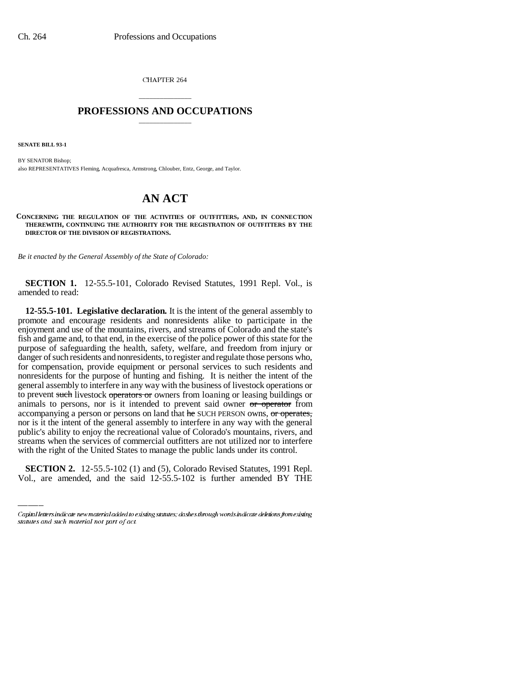CHAPTER 264

## \_\_\_\_\_\_\_\_\_\_\_\_\_\_\_ **PROFESSIONS AND OCCUPATIONS** \_\_\_\_\_\_\_\_\_\_\_\_\_\_\_

**SENATE BILL 93-1**

BY SENATOR Bishop; also REPRESENTATIVES Fleming, Acquafresca, Armstrong, Chlouber, Entz, George, and Taylor.

# **AN ACT**

**CONCERNING THE REGULATION OF THE ACTIVITIES OF OUTFITTERS, AND, IN CONNECTION THEREWITH, CONTINUING THE AUTHORITY FOR THE REGISTRATION OF OUTFITTERS BY THE DIRECTOR OF THE DIVISION OF REGISTRATIONS.**

*Be it enacted by the General Assembly of the State of Colorado:*

**SECTION 1.** 12-55.5-101, Colorado Revised Statutes, 1991 Repl. Vol., is amended to read:

streams when the services of commercial outfitters are not utilized nor to interfere **12-55.5-101. Legislative declaration.** It is the intent of the general assembly to promote and encourage residents and nonresidents alike to participate in the enjoyment and use of the mountains, rivers, and streams of Colorado and the state's fish and game and, to that end, in the exercise of the police power of this state for the purpose of safeguarding the health, safety, welfare, and freedom from injury or danger of such residents and nonresidents, to register and regulate those persons who, for compensation, provide equipment or personal services to such residents and nonresidents for the purpose of hunting and fishing. It is neither the intent of the general assembly to interfere in any way with the business of livestock operations or to prevent such livestock operators or owners from loaning or leasing buildings or animals to persons, nor is it intended to prevent said owner or operator from accompanying a person or persons on land that he SUCH PERSON owns, or operates, nor is it the intent of the general assembly to interfere in any way with the general public's ability to enjoy the recreational value of Colorado's mountains, rivers, and with the right of the United States to manage the public lands under its control.

**SECTION 2.** 12-55.5-102 (1) and (5), Colorado Revised Statutes, 1991 Repl. Vol., are amended, and the said 12-55.5-102 is further amended BY THE

Capital letters indicate new material added to existing statutes; dashes through words indicate deletions from existing statutes and such material not part of act.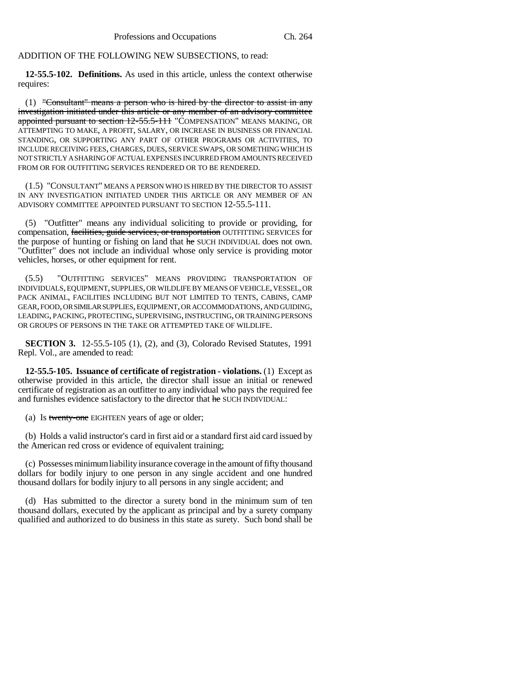## ADDITION OF THE FOLLOWING NEW SUBSECTIONS, to read:

**12-55.5-102. Definitions.** As used in this article, unless the context otherwise requires:

 $(1)$  "Consultant" means a person who is hired by the director to assist in any investigation initiated under this article or any member of an advisory committee appointed pursuant to section 12-55.5-111 "COMPENSATION" MEANS MAKING, OR ATTEMPTING TO MAKE, A PROFIT, SALARY, OR INCREASE IN BUSINESS OR FINANCIAL STANDING, OR SUPPORTING ANY PART OF OTHER PROGRAMS OR ACTIVITIES, TO INCLUDE RECEIVING FEES, CHARGES, DUES, SERVICE SWAPS, OR SOMETHING WHICH IS NOT STRICTLY A SHARING OF ACTUAL EXPENSES INCURRED FROM AMOUNTS RECEIVED FROM OR FOR OUTFITTING SERVICES RENDERED OR TO BE RENDERED.

(1.5) "CONSULTANT" MEANS A PERSON WHO IS HIRED BY THE DIRECTOR TO ASSIST IN ANY INVESTIGATION INITIATED UNDER THIS ARTICLE OR ANY MEMBER OF AN ADVISORY COMMITTEE APPOINTED PURSUANT TO SECTION 12-55.5-111.

(5) "Outfitter" means any individual soliciting to provide or providing, for compensation, facilities, guide services, or transportation OUTFITTING SERVICES for the purpose of hunting or fishing on land that he SUCH INDIVIDUAL does not own. "Outfitter" does not include an individual whose only service is providing motor vehicles, horses, or other equipment for rent.

(5.5) "OUTFITTING SERVICES" MEANS PROVIDING TRANSPORTATION OF INDIVIDUALS, EQUIPMENT, SUPPLIES, OR WILDLIFE BY MEANS OF VEHICLE, VESSEL, OR PACK ANIMAL, FACILITIES INCLUDING BUT NOT LIMITED TO TENTS, CABINS, CAMP GEAR, FOOD, OR SIMILAR SUPPLIES, EQUIPMENT, OR ACCOMMODATIONS, AND GUIDING, LEADING, PACKING, PROTECTING, SUPERVISING, INSTRUCTING, OR TRAINING PERSONS OR GROUPS OF PERSONS IN THE TAKE OR ATTEMPTED TAKE OF WILDLIFE.

**SECTION 3.** 12-55.5-105 (1), (2), and (3), Colorado Revised Statutes, 1991 Repl. Vol., are amended to read:

**12-55.5-105. Issuance of certificate of registration - violations.** (1) Except as otherwise provided in this article, the director shall issue an initial or renewed certificate of registration as an outfitter to any individual who pays the required fee and furnishes evidence satisfactory to the director that he SUCH INDIVIDUAL:

(a) Is twenty-one EIGHTEEN years of age or older;

(b) Holds a valid instructor's card in first aid or a standard first aid card issued by the American red cross or evidence of equivalent training;

(c) Possesses minimum liability insurance coverage in the amount of fifty thousand dollars for bodily injury to one person in any single accident and one hundred thousand dollars for bodily injury to all persons in any single accident; and

(d) Has submitted to the director a surety bond in the minimum sum of ten thousand dollars, executed by the applicant as principal and by a surety company qualified and authorized to do business in this state as surety. Such bond shall be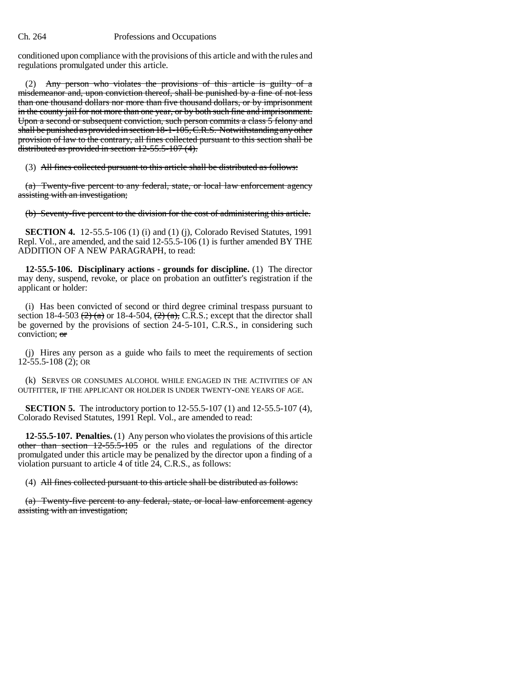### Ch. 264 Professions and Occupations

conditioned upon compliance with the provisions of this article and with the rules and regulations promulgated under this article.

(2) Any person who violates the provisions of this article is guilty of a misdemeanor and, upon conviction thereof, shall be punished by a fine of not less than one thousand dollars nor more than five thousand dollars, or by imprisonment in the county jail for not more than one year, or by both such fine and imprisonment. Upon a second or subsequent conviction, such person commits a class 5 felony and shall be punished as provided in section 18-1-105, C.R.S. Notwithstanding any other provision of law to the contrary, all fines collected pursuant to this section shall be distributed as provided in section 12-55.5-107 (4).

(3) All fines collected pursuant to this article shall be distributed as follows:

(a) Twenty-five percent to any federal, state, or local law enforcement agency assisting with an investigation;

(b) Seventy-five percent to the division for the cost of administering this article.

**SECTION 4.** 12-55.5-106 (1) (i) and (1) (j), Colorado Revised Statutes, 1991 Repl. Vol., are amended, and the said 12-55.5-106 (1) is further amended BY THE ADDITION OF A NEW PARAGRAPH, to read:

**12-55.5-106. Disciplinary actions - grounds for discipline.** (1) The director may deny, suspend, revoke, or place on probation an outfitter's registration if the applicant or holder:

(i) Has been convicted of second or third degree criminal trespass pursuant to section 18-4-503  $(2)$  (a) or 18-4-504,  $(2)$  (a), C.R.S.; except that the director shall be governed by the provisions of section 24-5-101, C.R.S., in considering such conviction; or

(j) Hires any person as a guide who fails to meet the requirements of section 12-55.5-108 (2); OR

(k) SERVES OR CONSUMES ALCOHOL WHILE ENGAGED IN THE ACTIVITIES OF AN OUTFITTER, IF THE APPLICANT OR HOLDER IS UNDER TWENTY-ONE YEARS OF AGE.

**SECTION 5.** The introductory portion to 12-55.5-107 (1) and 12-55.5-107 (4), Colorado Revised Statutes, 1991 Repl. Vol., are amended to read:

**12-55.5-107. Penalties.** (1) Any person who violates the provisions of this article other than section  $12-55.5-105$  or the rules and regulations of the director promulgated under this article may be penalized by the director upon a finding of a violation pursuant to article 4 of title 24, C.R.S., as follows:

(4) All fines collected pursuant to this article shall be distributed as follows:

(a) Twenty-five percent to any federal, state, or local law enforcement agency assisting with an investigation;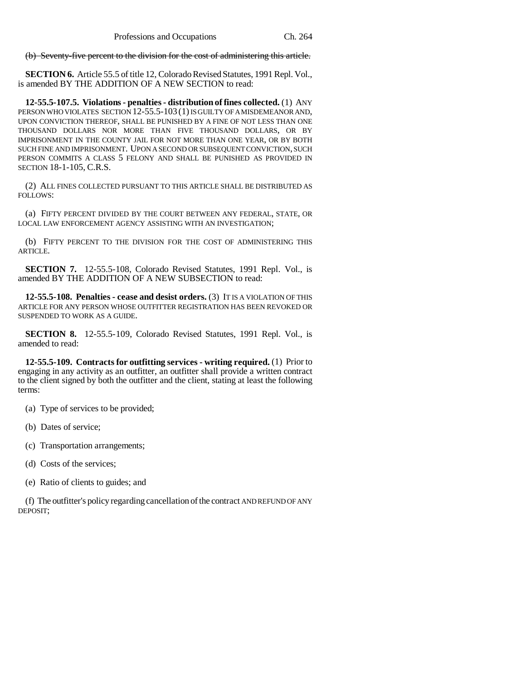(b) Seventy-five percent to the division for the cost of administering this article.

**SECTION 6.** Article 55.5 of title 12, Colorado Revised Statutes, 1991 Repl. Vol., is amended BY THE ADDITION OF A NEW SECTION to read:

**12-55.5-107.5. Violations - penalties - distribution of fines collected.** (1) ANY PERSON WHO VIOLATES SECTION 12-55.5-103 (1) IS GUILTY OF A MISDEMEANOR AND, UPON CONVICTION THEREOF, SHALL BE PUNISHED BY A FINE OF NOT LESS THAN ONE THOUSAND DOLLARS NOR MORE THAN FIVE THOUSAND DOLLARS, OR BY IMPRISONMENT IN THE COUNTY JAIL FOR NOT MORE THAN ONE YEAR, OR BY BOTH SUCH FINE AND IMPRISONMENT. UPON A SECOND OR SUBSEQUENT CONVICTION, SUCH PERSON COMMITS A CLASS 5 FELONY AND SHALL BE PUNISHED AS PROVIDED IN SECTION 18-1-105, C.R.S.

(2) ALL FINES COLLECTED PURSUANT TO THIS ARTICLE SHALL BE DISTRIBUTED AS FOLLOWS:

(a) FIFTY PERCENT DIVIDED BY THE COURT BETWEEN ANY FEDERAL, STATE, OR LOCAL LAW ENFORCEMENT AGENCY ASSISTING WITH AN INVESTIGATION;

(b) FIFTY PERCENT TO THE DIVISION FOR THE COST OF ADMINISTERING THIS ARTICLE.

**SECTION 7.** 12-55.5-108, Colorado Revised Statutes, 1991 Repl. Vol., is amended BY THE ADDITION OF A NEW SUBSECTION to read:

**12-55.5-108. Penalties - cease and desist orders.** (3) IT IS A VIOLATION OF THIS ARTICLE FOR ANY PERSON WHOSE OUTFITTER REGISTRATION HAS BEEN REVOKED OR SUSPENDED TO WORK AS A GUIDE.

**SECTION 8.** 12-55.5-109, Colorado Revised Statutes, 1991 Repl. Vol., is amended to read:

**12-55.5-109. Contracts for outfitting services - writing required.** (1) Prior to engaging in any activity as an outfitter, an outfitter shall provide a written contract to the client signed by both the outfitter and the client, stating at least the following terms:

(a) Type of services to be provided;

(b) Dates of service;

- (c) Transportation arrangements;
- (d) Costs of the services;

(e) Ratio of clients to guides; and

(f) The outfitter's policy regarding cancellation of the contract AND REFUND OF ANY DEPOSIT;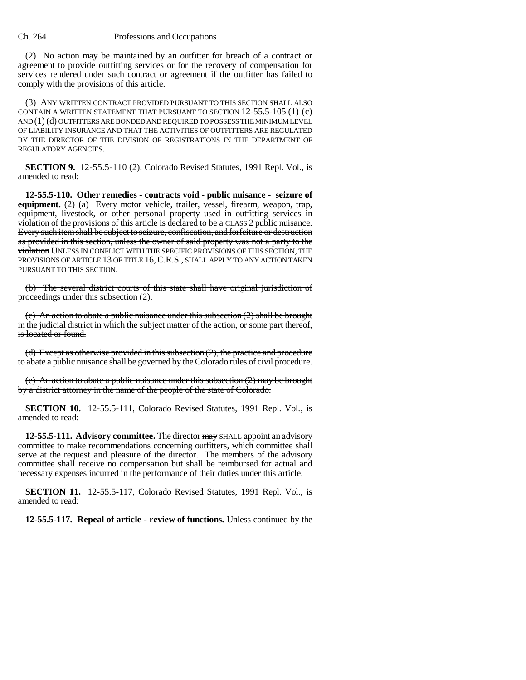#### Ch. 264 Professions and Occupations

(2) No action may be maintained by an outfitter for breach of a contract or agreement to provide outfitting services or for the recovery of compensation for services rendered under such contract or agreement if the outfitter has failed to comply with the provisions of this article.

(3) ANY WRITTEN CONTRACT PROVIDED PURSUANT TO THIS SECTION SHALL ALSO CONTAIN A WRITTEN STATEMENT THAT PURSUANT TO SECTION 12-55.5-105 (1) (c) AND (1) (d) OUTFITTERS ARE BONDED AND REQUIRED TO POSSESS THE MINIMUM LEVEL OF LIABILITY INSURANCE AND THAT THE ACTIVITIES OF OUTFITTERS ARE REGULATED BY THE DIRECTOR OF THE DIVISION OF REGISTRATIONS IN THE DEPARTMENT OF REGULATORY AGENCIES.

**SECTION 9.** 12-55.5-110 (2), Colorado Revised Statutes, 1991 Repl. Vol., is amended to read:

**12-55.5-110. Other remedies - contracts void - public nuisance - seizure of equipment.** (2)  $\left(\frac{a}{b}\right)$  Every motor vehicle, trailer, vessel, firearm, weapon, trap, equipment, livestock, or other personal property used in outfitting services in violation of the provisions of this article is declared to be a CLASS 2 public nuisance. Every such item shall be subject to seizure, confiscation, and forfeiture or destruction as provided in this section, unless the owner of said property was not a party to the violation UNLESS IN CONFLICT WITH THE SPECIFIC PROVISIONS OF THIS SECTION, THE PROVISIONS OF ARTICLE 13 OF TITLE 16,C.R.S., SHALL APPLY TO ANY ACTION TAKEN PURSUANT TO THIS SECTION.

(b) The several district courts of this state shall have original jurisdiction of proceedings under this subsection (2).

(c) An action to abate a public nuisance under this subsection (2) shall be brought in the judicial district in which the subject matter of the action, or some part thereof, is located or found.

(d) Except as otherwise provided in this subsection (2), the practice and procedure to abate a public nuisance shall be governed by the Colorado rules of civil procedure.

(e) An action to abate a public nuisance under this subsection  $(2)$  may be brought by a district attorney in the name of the people of the state of Colorado.

**SECTION 10.** 12-55.5-111, Colorado Revised Statutes, 1991 Repl. Vol., is amended to read:

**12-55.5-111. Advisory committee.** The director may SHALL appoint an advisory committee to make recommendations concerning outfitters, which committee shall serve at the request and pleasure of the director. The members of the advisory committee shall receive no compensation but shall be reimbursed for actual and necessary expenses incurred in the performance of their duties under this article.

**SECTION 11.** 12-55.5-117, Colorado Revised Statutes, 1991 Repl. Vol., is amended to read:

**12-55.5-117. Repeal of article - review of functions.** Unless continued by the